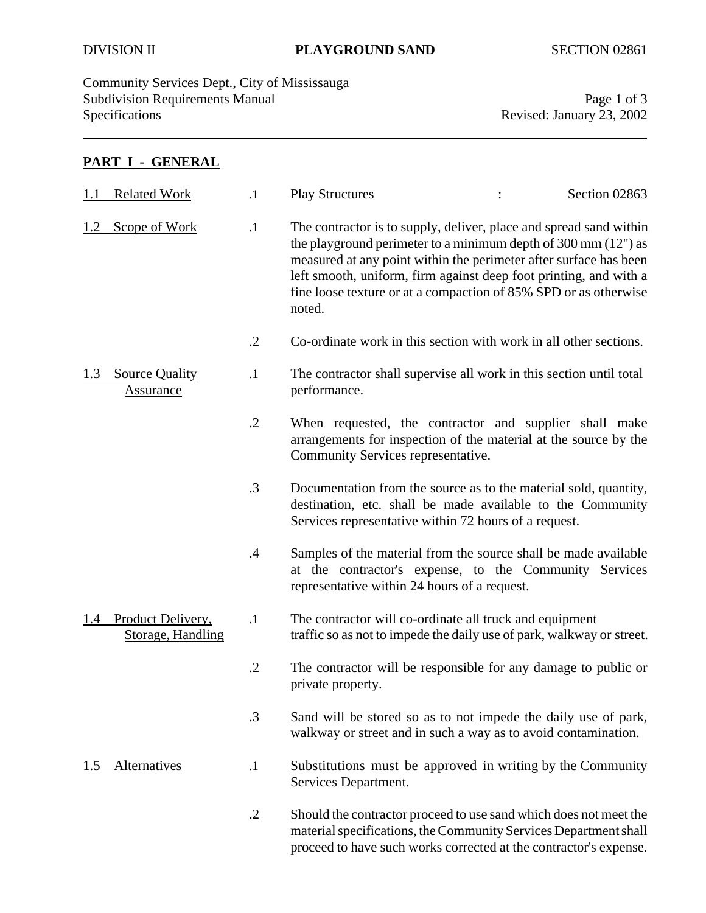Community Services Dept., City of Mississauga Subdivision Requirements Manual Page 1 of 3<br>Specifications Revised: January 23, 2002

Revised: January 23, 2002

## **PART I - GENERAL**

| 1.1 | <b>Related Work</b>                       | $\cdot$ 1     | <b>Play Structures</b>                                                                                                                                                                                                                                                                                                                                                 | Section 02863 |
|-----|-------------------------------------------|---------------|------------------------------------------------------------------------------------------------------------------------------------------------------------------------------------------------------------------------------------------------------------------------------------------------------------------------------------------------------------------------|---------------|
| 1.2 | Scope of Work                             | $\cdot$ 1     | The contractor is to supply, deliver, place and spread sand within<br>the playground perimeter to a minimum depth of $300 \text{ mm}$ (12") as<br>measured at any point within the perimeter after surface has been<br>left smooth, uniform, firm against deep foot printing, and with a<br>fine loose texture or at a compaction of 85% SPD or as otherwise<br>noted. |               |
|     |                                           | $\cdot$ .2    | Co-ordinate work in this section with work in all other sections.                                                                                                                                                                                                                                                                                                      |               |
| 1.3 | <b>Source Quality</b><br><b>Assurance</b> | $\cdot$ 1     | The contractor shall supervise all work in this section until total<br>performance.                                                                                                                                                                                                                                                                                    |               |
|     |                                           | $\cdot$ .2    | When requested, the contractor and supplier shall make<br>arrangements for inspection of the material at the source by the<br>Community Services representative.                                                                                                                                                                                                       |               |
|     |                                           | $\cdot$ 3     | Documentation from the source as to the material sold, quantity,<br>destination, etc. shall be made available to the Community<br>Services representative within 72 hours of a request.                                                                                                                                                                                |               |
|     |                                           | $\mathcal{A}$ | Samples of the material from the source shall be made available<br>at the contractor's expense, to the Community Services<br>representative within 24 hours of a request.                                                                                                                                                                                              |               |
| 1.4 | Product Delivery,<br>Storage, Handling    | $\cdot$ 1     | The contractor will co-ordinate all truck and equipment<br>traffic so as not to impede the daily use of park, walkway or street.                                                                                                                                                                                                                                       |               |
|     |                                           | $\cdot$ .2    | The contractor will be responsible for any damage to public or<br>private property.                                                                                                                                                                                                                                                                                    |               |
|     |                                           | $\cdot$ 3     | Sand will be stored so as to not impede the daily use of park,<br>walkway or street and in such a way as to avoid contamination.                                                                                                                                                                                                                                       |               |
| 1.5 | <u>Alternatives</u>                       | $\cdot$       | Substitutions must be approved in writing by the Community<br>Services Department.                                                                                                                                                                                                                                                                                     |               |
|     |                                           | $\cdot$ .2    | Should the contractor proceed to use sand which does not meet the<br>material specifications, the Community Services Department shall<br>proceed to have such works corrected at the contractor's expense.                                                                                                                                                             |               |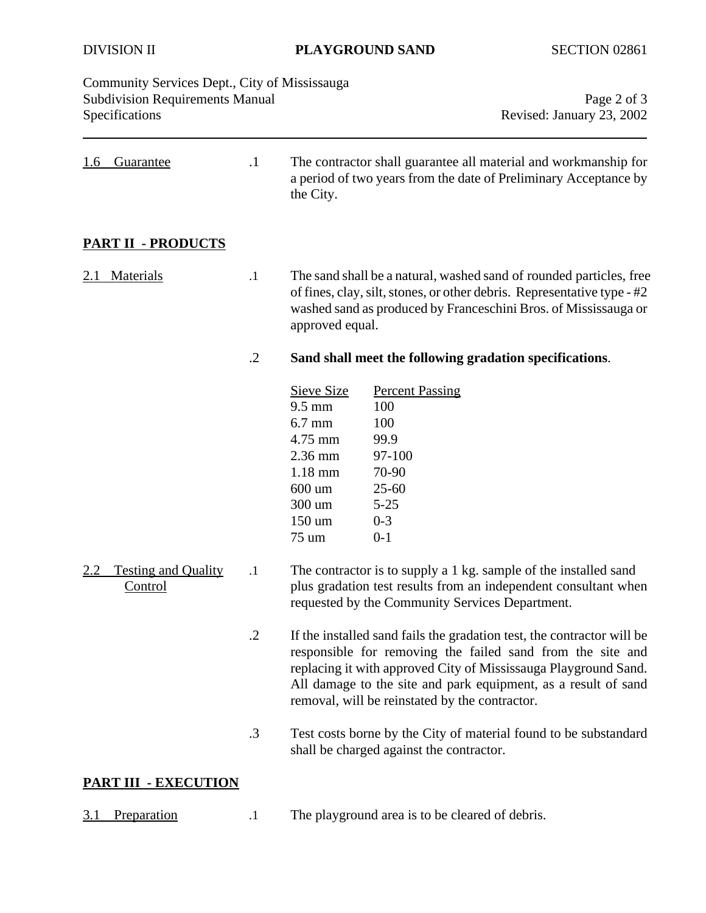DIVISION II **PLAYGROUND SAND** SECTION 02861

| Community Services Dept., City of Mississauga<br><b>Subdivision Requirements Manual</b><br>Specifications |            | Page 2 of 3<br>Revised: January 23, 2002                                                                                                                                                                                                                                                                                    |                                                                                                                                     |  |
|-----------------------------------------------------------------------------------------------------------|------------|-----------------------------------------------------------------------------------------------------------------------------------------------------------------------------------------------------------------------------------------------------------------------------------------------------------------------------|-------------------------------------------------------------------------------------------------------------------------------------|--|
| <u>Guarantee</u><br><u>1.6</u>                                                                            | $\cdot$ 1  | the City.                                                                                                                                                                                                                                                                                                                   | The contractor shall guarantee all material and workmanship for<br>a period of two years from the date of Preliminary Acceptance by |  |
| <b>PART II - PRODUCTS</b>                                                                                 |            |                                                                                                                                                                                                                                                                                                                             |                                                                                                                                     |  |
| <b>Materials</b><br>2.1                                                                                   | $\cdot$ 1  | The sand shall be a natural, washed sand of rounded particles, free<br>of fines, clay, silt, stones, or other debris. Representative type - #2<br>washed sand as produced by Franceschini Bros. of Mississauga or<br>approved equal.                                                                                        |                                                                                                                                     |  |
|                                                                                                           | $\cdot$ .2 | Sand shall meet the following gradation specifications.                                                                                                                                                                                                                                                                     |                                                                                                                                     |  |
|                                                                                                           |            | Sieve Size<br>$9.5 \text{ mm}$<br>$6.7$ mm<br>4.75 mm<br>2.36 mm<br>$1.18$ mm<br>600 um<br>300 um<br>150 um<br>75 um                                                                                                                                                                                                        | <b>Percent Passing</b><br>100<br>100<br>99.9<br>97-100<br>70-90<br>$25 - 60$<br>$5 - 25$<br>$0 - 3$<br>$0 - 1$                      |  |
| <b>Testing and Quality</b><br>2.2<br><b>Control</b>                                                       | $\cdot$    | The contractor is to supply a 1 kg. sample of the installed sand<br>plus gradation test results from an independent consultant when<br>requested by the Community Services Department.                                                                                                                                      |                                                                                                                                     |  |
|                                                                                                           | $\cdot$ .2 | If the installed sand fails the gradation test, the contractor will be<br>responsible for removing the failed sand from the site and<br>replacing it with approved City of Mississauga Playground Sand.<br>All damage to the site and park equipment, as a result of sand<br>removal, will be reinstated by the contractor. |                                                                                                                                     |  |
|                                                                                                           | .3         |                                                                                                                                                                                                                                                                                                                             | Test costs borne by the City of material found to be substandard<br>shall be charged against the contractor.                        |  |
| <b>PART III - EXECUTION</b>                                                                               |            |                                                                                                                                                                                                                                                                                                                             |                                                                                                                                     |  |
| Preparation<br>3.1                                                                                        | $\cdot$ 1  |                                                                                                                                                                                                                                                                                                                             | The playground area is to be cleared of debris.                                                                                     |  |